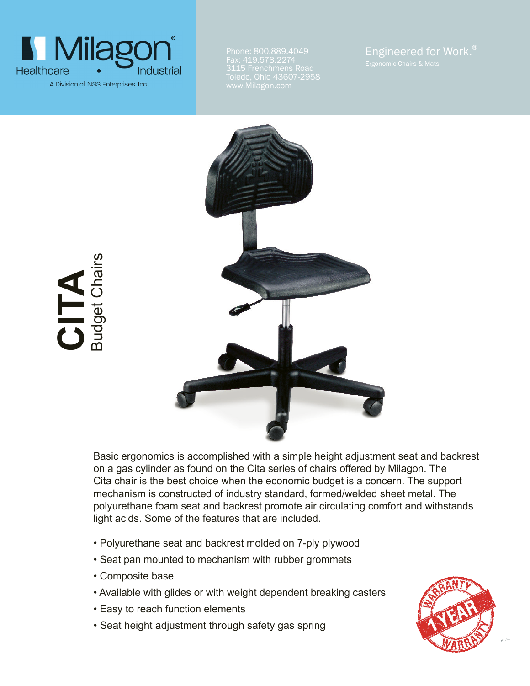

**CITA**

Budget Chairs

Phone: 800.889.4049 Fax: 419.578.2274 www.Milagon.com



Basic ergonomics is accomplished with a simple height adjustment seat and backrest on a gas cylinder as found on the Cita series of chairs offered by Milagon. The Cita chair is the best choice when the economic budget is a concern. The support mechanism is constructed of industry standard, formed/welded sheet metal. The polyurethane foam seat and backrest promote air circulating comfort and withstands light acids. Some of the features that are included.

- Polyurethane seat and backrest molded on 7-ply plywood
- Seat pan mounted to mechanism with rubber grommets
- Composite base
- Available with glides or with weight dependent breaking casters
- Easy to reach function elements
- Seat height adjustment through safety gas spring